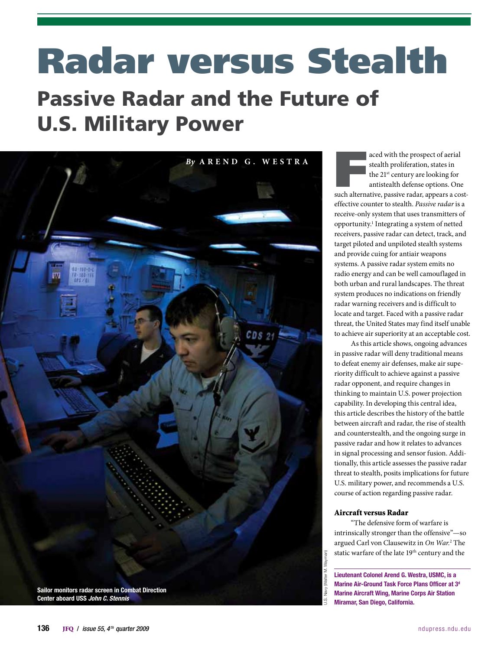# Radar versus Stealth

# Passive Radar and the Future of U.S. Military Power



aced with the prospect of aerial<br>stealth proliferation, states in<br>the 21<sup>st</sup> century are looking for<br>antistealth defense options. One<br>such alternative, passive radar, appears a coststealth proliferation, states in the 21<sup>st</sup> century are looking for antistealth defense options. One

effective counter to stealth. *Passive radar* is a receive-only system that uses transmitters of opportunity.<sup>1</sup> Integrating a system of netted receivers, passive radar can detect, track, and target piloted and unpiloted stealth systems and provide cuing for antiair weapons systems. A passive radar system emits no radio energy and can be well camouflaged in both urban and rural landscapes. The threat system produces no indications on friendly radar warning receivers and is difficult to locate and target. Faced with a passive radar threat, the United States may find itself unable to achieve air superiority at an acceptable cost.

As this article shows, ongoing advances in passive radar will deny traditional means to defeat enemy air defenses, make air superiority difficult to achieve against a passive radar opponent, and require changes in thinking to maintain U.S. power projection capability. In developing this central idea, this article describes the history of the battle between aircraft and radar, the rise of stealth and counterstealth, and the ongoing surge in passive radar and how it relates to advances in signal processing and sensor fusion. Additionally, this article assesses the passive radar threat to stealth, posits implications for future U.S. military power, and recommends a U.S. course of action regarding passive radar.

## Aircraft versus Radar

"The defensive form of warfare is intrinsically stronger than the offensive"—so argued Carl von Clausewitz in *On War.*<sup>2</sup> The static warfare of the late 19<sup>th</sup> century and the

Lieutenant Colonel Arend G. Westra, USMC, is a Marine Air-Ground Task Force Plans Officer at 3d Marine Aircraft Wing, Marine Corps Air Station Miramar, San Diego, California.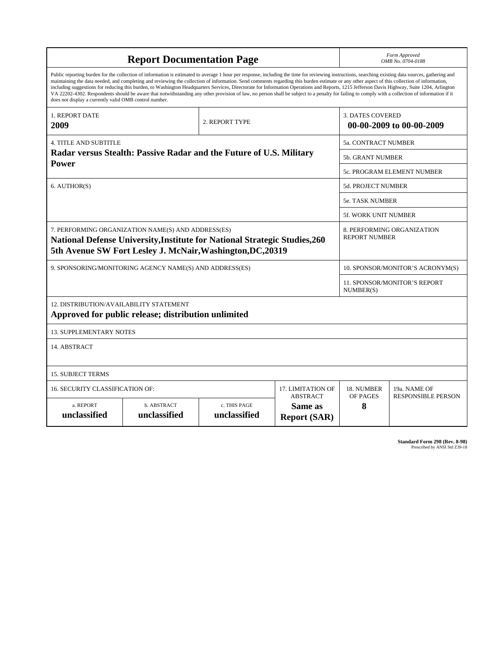| <b>Report Documentation Page</b>                                                                                                                                                                                                                                                                                                                                                                                                                                                                                                                                                                                                                                                                                                                                                                                                                                   |                             |                              |                                | Form Approved<br>OMB No. 0704-0188                  |                                           |
|--------------------------------------------------------------------------------------------------------------------------------------------------------------------------------------------------------------------------------------------------------------------------------------------------------------------------------------------------------------------------------------------------------------------------------------------------------------------------------------------------------------------------------------------------------------------------------------------------------------------------------------------------------------------------------------------------------------------------------------------------------------------------------------------------------------------------------------------------------------------|-----------------------------|------------------------------|--------------------------------|-----------------------------------------------------|-------------------------------------------|
| Public reporting burden for the collection of information is estimated to average 1 hour per response, including the time for reviewing instructions, searching existing data sources, gathering and<br>maintaining the data needed, and completing and reviewing the collection of information. Send comments regarding this burden estimate or any other aspect of this collection of information,<br>including suggestions for reducing this burden, to Washington Headquarters Services, Directorate for Information Operations and Reports, 1215 Jefferson Davis Highway, Suite 1204, Arlington<br>VA 22202-4302. Respondents should be aware that notwithstanding any other provision of law, no person shall be subject to a penalty for failing to comply with a collection of information if it<br>does not display a currently valid OMB control number. |                             |                              |                                |                                                     |                                           |
| <b>1. REPORT DATE</b><br>2009                                                                                                                                                                                                                                                                                                                                                                                                                                                                                                                                                                                                                                                                                                                                                                                                                                      |                             | 2. REPORT TYPE               |                                | <b>3. DATES COVERED</b><br>00-00-2009 to 00-00-2009 |                                           |
| <b>4. TITLE AND SUBTITLE</b>                                                                                                                                                                                                                                                                                                                                                                                                                                                                                                                                                                                                                                                                                                                                                                                                                                       |                             |                              |                                | 5a. CONTRACT NUMBER                                 |                                           |
| Radar versus Stealth: Passive Radar and the Future of U.S. Military                                                                                                                                                                                                                                                                                                                                                                                                                                                                                                                                                                                                                                                                                                                                                                                                |                             |                              |                                | 5b. GRANT NUMBER                                    |                                           |
| Power                                                                                                                                                                                                                                                                                                                                                                                                                                                                                                                                                                                                                                                                                                                                                                                                                                                              |                             |                              |                                | <b>5c. PROGRAM ELEMENT NUMBER</b>                   |                                           |
| 6. AUTHOR(S)                                                                                                                                                                                                                                                                                                                                                                                                                                                                                                                                                                                                                                                                                                                                                                                                                                                       |                             |                              |                                | 5d. PROJECT NUMBER                                  |                                           |
|                                                                                                                                                                                                                                                                                                                                                                                                                                                                                                                                                                                                                                                                                                                                                                                                                                                                    |                             |                              |                                | <b>5e. TASK NUMBER</b>                              |                                           |
|                                                                                                                                                                                                                                                                                                                                                                                                                                                                                                                                                                                                                                                                                                                                                                                                                                                                    |                             |                              |                                | 5f. WORK UNIT NUMBER                                |                                           |
| 7. PERFORMING ORGANIZATION NAME(S) AND ADDRESS(ES)<br>National Defense University, Institute for National Strategic Studies, 260<br>5th Avenue SW Fort Lesley J. McNair, Washington, DC, 20319                                                                                                                                                                                                                                                                                                                                                                                                                                                                                                                                                                                                                                                                     |                             |                              |                                | 8. PERFORMING ORGANIZATION<br><b>REPORT NUMBER</b>  |                                           |
| 9. SPONSORING/MONITORING AGENCY NAME(S) AND ADDRESS(ES)                                                                                                                                                                                                                                                                                                                                                                                                                                                                                                                                                                                                                                                                                                                                                                                                            |                             |                              |                                | 10. SPONSOR/MONITOR'S ACRONYM(S)                    |                                           |
|                                                                                                                                                                                                                                                                                                                                                                                                                                                                                                                                                                                                                                                                                                                                                                                                                                                                    |                             |                              |                                | <b>11. SPONSOR/MONITOR'S REPORT</b><br>NUMBER(S)    |                                           |
| 12. DISTRIBUTION/AVAILABILITY STATEMENT<br>Approved for public release; distribution unlimited                                                                                                                                                                                                                                                                                                                                                                                                                                                                                                                                                                                                                                                                                                                                                                     |                             |                              |                                |                                                     |                                           |
| <b>13. SUPPLEMENTARY NOTES</b>                                                                                                                                                                                                                                                                                                                                                                                                                                                                                                                                                                                                                                                                                                                                                                                                                                     |                             |                              |                                |                                                     |                                           |
| 14. ABSTRACT                                                                                                                                                                                                                                                                                                                                                                                                                                                                                                                                                                                                                                                                                                                                                                                                                                                       |                             |                              |                                |                                                     |                                           |
| <b>15. SUBJECT TERMS</b>                                                                                                                                                                                                                                                                                                                                                                                                                                                                                                                                                                                                                                                                                                                                                                                                                                           |                             |                              |                                |                                                     |                                           |
| 16. SECURITY CLASSIFICATION OF:<br>17. LIMITATION OF<br><b>ABSTRACT</b>                                                                                                                                                                                                                                                                                                                                                                                                                                                                                                                                                                                                                                                                                                                                                                                            |                             |                              |                                | 18. NUMBER<br>OF PAGES                              | 19a. NAME OF<br><b>RESPONSIBLE PERSON</b> |
| a. REPORT<br>unclassified                                                                                                                                                                                                                                                                                                                                                                                                                                                                                                                                                                                                                                                                                                                                                                                                                                          | b. ABSTRACT<br>unclassified | c. THIS PAGE<br>unclassified | Same as<br><b>Report (SAR)</b> | 8                                                   |                                           |

**Standard Form 298 (Rev. 8-98)**<br>Prescribed by ANSI Std Z39-18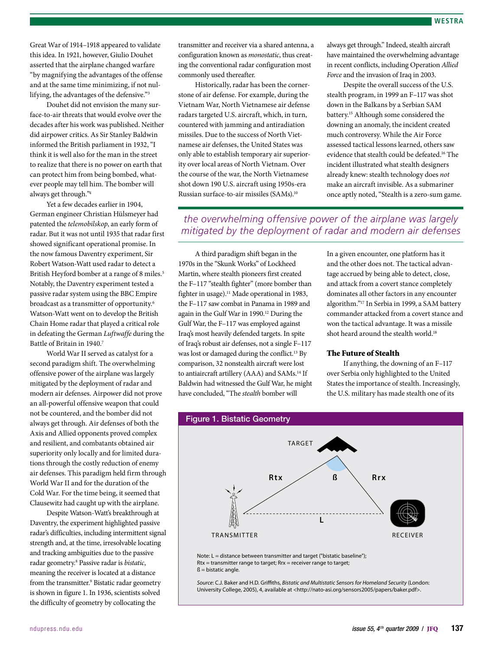Great War of 1914–1918 appeared to validate this idea. In 1921, however, Giulio Douhet asserted that the airplane changed warfare "by magnifying the advantages of the offense and at the same time minimizing, if not nullifying, the advantages of the defensive."3

Douhet did not envision the many surface-to-air threats that would evolve over the decades after his work was published. Neither did airpower critics. As Sir Stanley Baldwin informed the British parliament in 1932, "I think it is well also for the man in the street to realize that there is no power on earth that can protect him from being bombed, whatever people may tell him. The bomber will always get through."4

Yet a few decades earlier in 1904, German engineer Christian Hülsmeyer had patented the *telemobilskop*, an early form of radar. But it was not until 1935 that radar first showed significant operational promise. In the now famous Daventry experiment, Sir Robert Watson-Watt used radar to detect a British Heyford bomber at a range of 8 miles.<sup>5</sup> Notably, the Daventry experiment tested a passive radar system using the BBC Empire broadcast as a transmitter of opportunity.<sup>6</sup> Watson-Watt went on to develop the British Chain Home radar that played a critical role in defeating the German *Luftwaffe* during the Battle of Britain in 1940.7

World War II served as catalyst for a second paradigm shift. The overwhelming offensive power of the airplane was largely mitigated by the deployment of radar and modern air defenses. Airpower did not prove an all-powerful offensive weapon that could not be countered, and the bomber did not always get through. Air defenses of both the Axis and Allied opponents proved complex and resilient, and combatants obtained air superiority only locally and for limited durations through the costly reduction of enemy air defenses. This paradigm held firm through World War II and for the duration of the Cold War. For the time being, it seemed that Clausewitz had caught up with the airplane.

Despite Watson-Watt's breakthrough at Daventry, the experiment highlighted passive radar's difficulties, including intermittent signal strength and, at the time, irresolvable locating and tracking ambiguities due to the passive radar geometry.8 Passive radar is *bistatic*, meaning the receiver is located at a distance from the transmitter.<sup>9</sup> Bistatic radar geometry is shown in figure 1. In 1936, scientists solved the difficulty of geometry by collocating the

transmitter and receiver via a shared antenna, a configuration known as *monostatic*, thus creating the conventional radar configuration most commonly used thereafter.

Historically, radar has been the cornerstone of air defense. For example, during the Vietnam War, North Vietnamese air defense radars targeted U.S. aircraft, which, in turn, countered with jamming and antiradiation missiles. Due to the success of North Vietnamese air defenses, the United States was only able to establish temporary air superiority over local areas of North Vietnam. Over the course of the war, the North Vietnamese shot down 190 U.S. aircraft using 1950s-era Russian surface-to-air missiles (SAMs).10

always get through." Indeed, stealth aircraft have maintained the overwhelming advantage in recent conflicts, including Operation *Allied Force* and the invasion of Iraq in 2003.

Despite the overall success of the U.S. stealth program, in 1999 an F–117 was shot down in the Balkans by a Serbian SAM battery.15 Although some considered the downing an anomaly, the incident created much controversy. While the Air Force assessed tactical lessons learned, others saw evidence that stealth could be defeated.16 The incident illustrated what stealth designers already knew: stealth technology does *not* make an aircraft invisible. As a submariner once aptly noted, "Stealth is a zero-sum game.

# *the overwhelming offensive power of the airplane was largely mitigated by the deployment of radar and modern air defenses*

A third paradigm shift began in the 1970s in the "Skunk Works" of Lockheed Martin, where stealth pioneers first created the F–117 "stealth fighter" (more bomber than fighter in usage).<sup>11</sup> Made operational in 1983, the F–117 saw combat in Panama in 1989 and again in the Gulf War in 1990.<sup>12</sup> During the Gulf War, the F–117 was employed against Iraq's most heavily defended targets. In spite of Iraq's robust air defenses, not a single F–117 was lost or damaged during the conflict.<sup>13</sup> By comparison, 32 nonstealth aircraft were lost to antiaircraft artillery (AAA) and SAMs.<sup>14</sup> If Baldwin had witnessed the Gulf War, he might have concluded, "The *stealth* bomber will

In a given encounter, one platform has it and the other does not. The tactical advantage accrued by being able to detect, close, and attack from a covert stance completely dominates all other factors in any encounter algorithm."17 In Serbia in 1999, a SAM battery commander attacked from a covert stance and won the tactical advantage. It was a missile shot heard around the stealth world.<sup>18</sup>

#### The Future of Stealth

If anything, the downing of an F–117 over Serbia only highlighted to the United States the importance of stealth. Increasingly, the U.S. military has made stealth one of its



Source: C.J. Baker and H.D. Griffiths, *Bistatic and Multistatic Sensors for Homeland Security* (London: University College, 2005), 4, available at <http://nato-asi.org/sensors2005/papers/baker.pdf>.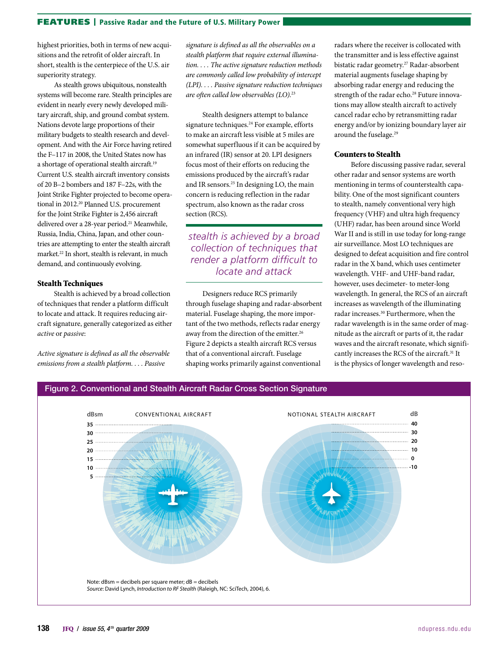#### FEATURES | Passive Radar and the Future of U.S. Military Power

highest priorities, both in terms of new acquisitions and the retrofit of older aircraft. In short, stealth is the centerpiece of the U.S. air superiority strategy.

As stealth grows ubiquitous, nonstealth systems will become rare. Stealth principles are evident in nearly every newly developed military aircraft, ship, and ground combat system. Nations devote large proportions of their military budgets to stealth research and development. And with the Air Force having retired the F–117 in 2008, the United States now has a shortage of operational stealth aircraft.19 Current U.S. stealth aircraft inventory consists of 20 B–2 bombers and 187 F–22s, with the Joint Strike Fighter projected to become operational in 2012.20 Planned U.S. procurement for the Joint Strike Fighter is 2,456 aircraft delivered over a 28-year period.<sup>21</sup> Meanwhile, Russia, India, China, Japan, and other countries are attempting to enter the stealth aircraft market.<sup>22</sup> In short, stealth is relevant, in much demand, and continuously evolving.

#### Stealth Techniques

Stealth is achieved by a broad collection of techniques that render a platform difficult to locate and attack. It requires reducing aircraft signature, generally categorized as either *active* or *passive*:

*Active signature is defined as all the observable emissions from a stealth platform. . . . Passive* 

*signature is defined as all the observables on a stealth platform that require external illumination. . . . The active signature reduction methods are commonly called low probability of intercept (LPI). . . . Passive signature reduction techniques are often called low observables (LO).*<sup>23</sup>

Stealth designers attempt to balance signature techniques.<sup>24</sup> For example, efforts to make an aircraft less visible at 5 miles are somewhat superfluous if it can be acquired by an infrared (IR) sensor at 20. LPI designers focus most of their efforts on reducing the emissions produced by the aircraft's radar and IR sensors.25 In designing LO, the main concern is reducing reflection in the radar spectrum, also known as the radar cross section (RCS).

*stealth is achieved by a broad collection of techniques that render a platform difficult to locate and attack*

Designers reduce RCS primarily through fuselage shaping and radar-absorbent material. Fuselage shaping, the more important of the two methods, reflects radar energy away from the direction of the emitter.<sup>26</sup> Figure 2 depicts a stealth aircraft RCS versus that of a conventional aircraft. Fuselage shaping works primarily against conventional

radars where the receiver is collocated with the transmitter and is less effective against bistatic radar geometry.27 Radar-absorbent material augments fuselage shaping by absorbing radar energy and reducing the strength of the radar echo.<sup>28</sup> Future innovations may allow stealth aircraft to actively cancel radar echo by retransmitting radar energy and/or by ionizing boundary layer air around the fuselage.<sup>29</sup>

#### Counters to Stealth

Before discussing passive radar, several other radar and sensor systems are worth mentioning in terms of counterstealth capability. One of the most significant counters to stealth, namely conventional very high frequency (VHF) and ultra high frequency (UHF) radar, has been around since World War II and is still in use today for long-range air surveillance. Most LO techniques are designed to defeat acquisition and fire control radar in the X band, which uses centimeter wavelength. VHF- and UHF-band radar, however, uses decimeter- to meter-long wavelength. In general, the RCS of an aircraft increases as wavelength of the illuminating radar increases.30 Furthermore, when the radar wavelength is in the same order of magnitude as the aircraft or parts of it, the radar waves and the aircraft resonate, which significantly increases the RCS of the aircraft.31 It is the physics of longer wavelength and reso-

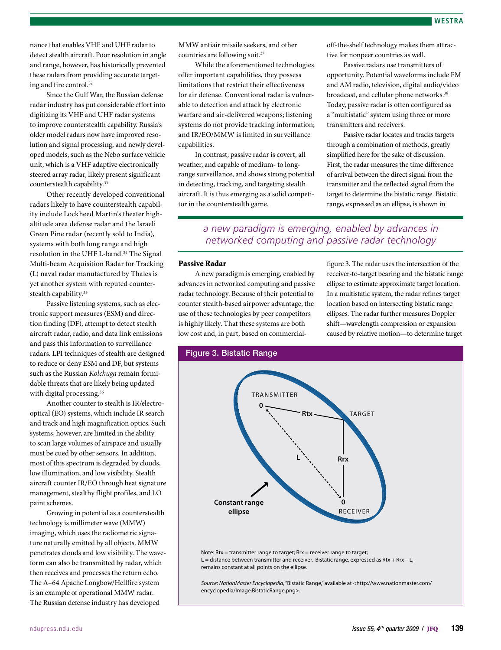nance that enables VHF and UHF radar to detect stealth aircraft. Poor resolution in angle and range, however, has historically prevented these radars from providing accurate targeting and fire control.32

Since the Gulf War, the Russian defense radar industry has put considerable effort into digitizing its VHF and UHF radar systems to improve counterstealth capability. Russia's older model radars now have improved resolution and signal processing, and newly developed models, such as the Nebo surface vehicle unit, which is a VHF adaptive electronically steered array radar, likely present significant counterstealth capability.<sup>33</sup>

Other recently developed conventional radars likely to have counterstealth capability include Lockheed Martin's theater highaltitude area defense radar and the Israeli Green Pine radar (recently sold to India), systems with both long range and high resolution in the UHF L-band.<sup>34</sup> The Signal Multi-beam Acquisition Radar for Tracking (L) naval radar manufactured by Thales is yet another system with reputed counterstealth capability.<sup>35</sup>

Passive listening systems, such as electronic support measures (ESM) and direction finding (DF), attempt to detect stealth aircraft radar, radio, and data link emissions and pass this information to surveillance radars. LPI techniques of stealth are designed to reduce or deny ESM and DF, but systems such as the Russian *Kolchuga* remain formidable threats that are likely being updated with digital processing.<sup>36</sup>

Another counter to stealth is IR/electrooptical (EO) systems, which include IR search and track and high magnification optics. Such systems, however, are limited in the ability to scan large volumes of airspace and usually must be cued by other sensors. In addition, most of this spectrum is degraded by clouds, low illumination, and low visibility. Stealth aircraft counter IR/EO through heat signature management, stealthy flight profiles, and LO paint schemes.

Growing in potential as a counterstealth technology is millimeter wave (MMW) imaging, which uses the radiometric signature naturally emitted by all objects. MMW penetrates clouds and low visibility. The waveform can also be transmitted by radar, which then receives and processes the return echo. The A–64 Apache Longbow/Hellfire system is an example of operational MMW radar. The Russian defense industry has developed

MMW antiair missile seekers, and other countries are following suit.37

While the aforementioned technologies offer important capabilities, they possess limitations that restrict their effectiveness for air defense. Conventional radar is vulnerable to detection and attack by electronic warfare and air-delivered weapons; listening systems do not provide tracking information; and IR/EO/MMW is limited in surveillance capabilities.

In contrast, passive radar is covert, all weather, and capable of medium- to longrange surveillance, and shows strong potential in detecting, tracking, and targeting stealth aircraft. It is thus emerging as a solid competitor in the counterstealth game.

off-the-shelf technology makes them attractive for nonpeer countries as well.

Passive radars use transmitters of opportunity. Potential waveforms include FM and AM radio, television, digital audio/video broadcast, and cellular phone networks.<sup>38</sup> Today, passive radar is often configured as a "multistatic" system using three or more transmitters and receivers.

Passive radar locates and tracks targets through a combination of methods, greatly simplified here for the sake of discussion. First, the radar measures the time difference of arrival between the direct signal from the transmitter and the reflected signal from the target to determine the bistatic range. Bistatic range, expressed as an ellipse, is shown in

# *a new paradigm is emerging, enabled by advances in networked computing and passive radar technology*

#### Passive Radar

A new paradigm is emerging, enabled by advances in networked computing and passive radar technology. Because of their potential to counter stealth-based airpower advantage, the use of these technologies by peer competitors is highly likely. That these systems are both low cost and, in part, based on commercialfigure 3. The radar uses the intersection of the receiver-to-target bearing and the bistatic range ellipse to estimate approximate target location. In a multistatic system, the radar refines target location based on intersecting bistatic range ellipses. The radar further measures Doppler shift—wavelength compression or expansion caused by relative motion—to determine target

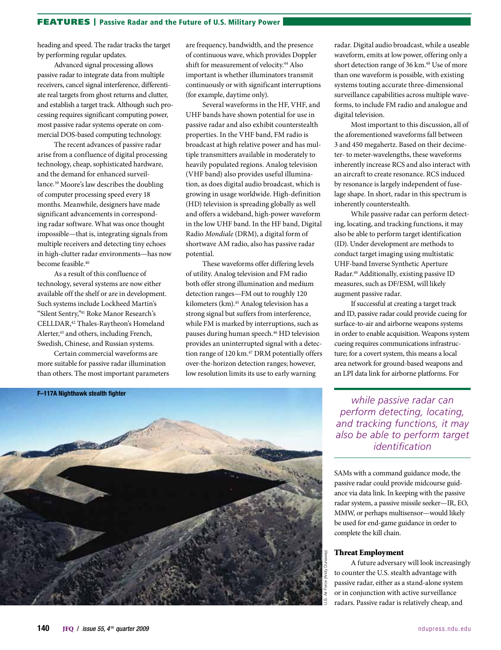#### FEATURES | Passive Radar and the Future of U.S. Military Power

heading and speed. The radar tracks the target by performing regular updates.

Advanced signal processing allows passive radar to integrate data from multiple receivers, cancel signal interference, differentiate real targets from ghost returns and clutter, and establish a target track. Although such processing requires significant computing power, most passive radar systems operate on commercial DOS-based computing technology.

The recent advances of passive radar arise from a confluence of digital processing technology, cheap, sophisticated hardware, and the demand for enhanced surveillance.39 Moore's law describes the doubling of computer processing speed every 18 months. Meanwhile, designers have made significant advancements in corresponding radar software. What was once thought impossible—that is, integrating signals from multiple receivers and detecting tiny echoes in high-clutter radar environments—has now become feasible.<sup>40</sup>

As a result of this confluence of technology, several systems are now either available off the shelf or are in development. Such systems include Lockheed Martin's "Silent Sentry,"41 Roke Manor Research's CELLDAR,42 Thales-Raytheon's Homeland Alerter,<sup>43</sup> and others, including French, Swedish, Chinese, and Russian systems.

Certain commercial waveforms are more suitable for passive radar illumination than others. The most important parameters

**Company of Cardinal Company** 

F–117A Nighthawk stealth fighter

are frequency, bandwidth, and the presence of continuous wave, which provides Doppler shift for measurement of velocity.<sup>44</sup> Also important is whether illuminators transmit continuously or with significant interruptions (for example, daytime only).

Several waveforms in the HF, VHF, and UHF bands have shown potential for use in passive radar and also exhibit counterstealth properties. In the VHF band, FM radio is broadcast at high relative power and has multiple transmitters available in moderately to heavily populated regions. Analog television (VHF band) also provides useful illumination, as does digital audio broadcast, which is growing in usage worldwide. High-definition (HD) television is spreading globally as well and offers a wideband, high-power waveform in the low UHF band. In the HF band, Digital Radio *Mondiale* (DRM), a digital form of shortwave AM radio, also has passive radar potential.

These waveforms offer differing levels of utility. Analog television and FM radio both offer strong illumination and medium detection ranges—FM out to roughly 120 kilometers (km).<sup>45</sup> Analog television has a strong signal but suffers from interference, while FM is marked by interruptions, such as pauses during human speech.<sup>46</sup> HD television provides an uninterrupted signal with a detection range of 120 km.<sup>47</sup> DRM potentially offers over-the-horizon detection ranges; however, low resolution limits its use to early warning

radar. Digital audio broadcast, while a useable waveform, emits at low power, offering only a short detection range of 36 km.<sup>48</sup> Use of more than one waveform is possible, with existing systems touting accurate three-dimensional surveillance capabilities across multiple waveforms, to include FM radio and analogue and digital television.

Most important to this discussion, all of the aforementioned waveforms fall between 3 and 450 megahertz. Based on their decimeter- to meter-wavelengths, these waveforms inherently increase RCS and also interact with an aircraft to create resonance. RCS induced by resonance is largely independent of fuselage shape. In short, radar in this spectrum is inherently counterstealth.

While passive radar can perform detecting, locating, and tracking functions, it may also be able to perform target identification (ID). Under development are methods to conduct target imaging using multistatic UHF-band Inverse Synthetic Aperture Radar.49 Additionally, existing passive ID measures, such as DF/ESM, will likely augment passive radar.

If successful at creating a target track and ID, passive radar could provide cueing for surface-to-air and airborne weapons systems in order to enable acquisition. Weapons system cueing requires communications infrastructure; for a covert system, this means a local area network for ground-based weapons and an LPI data link for airborne platforms. For

*while passive radar can perform detecting, locating, and tracking functions, it may also be able to perform target identification*

SAMs with a command guidance mode, the passive radar could provide midcourse guidance via data link. In keeping with the passive radar system, a passive missile seeker—IR, EO, MMW, or perhaps multisensor—would likely be used for end-game guidance in order to complete the kill chain.

#### Threat Employment

U.S. Air Force (Andy Dunaway)

A future adversary will look increasingly to counter the U.S. stealth advantage with passive radar, either as a stand-alone system or in conjunction with active surveillance radars. Passive radar is relatively cheap, and

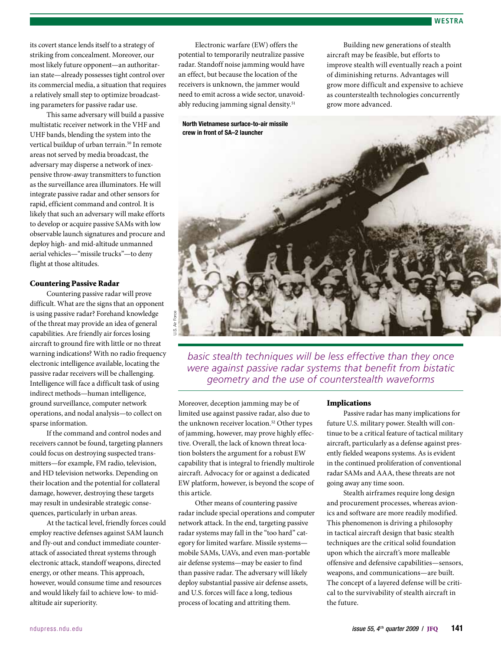#### **WESTRA**

its covert stance lends itself to a strategy of striking from concealment. Moreover, our most likely future opponent—an authoritarian state—already possesses tight control over its commercial media, a situation that requires a relatively small step to optimize broadcasting parameters for passive radar use.

This same adversary will build a passive multistatic receiver network in the VHF and UHF bands, blending the system into the vertical buildup of urban terrain.<sup>50</sup> In remote areas not served by media broadcast, the adversary may disperse a network of inexpensive throw-away transmitters to function as the surveillance area illuminators. He will integrate passive radar and other sensors for rapid, efficient command and control. It is likely that such an adversary will make efforts to develop or acquire passive SAMs with low observable launch signatures and procure and deploy high- and mid-altitude unmanned aerial vehicles—"missile trucks"—to deny flight at those altitudes.

#### Countering Passive Radar

Countering passive radar will prove difficult. What are the signs that an opponent is using passive radar? Forehand knowledge of the threat may provide an idea of general capabilities. Are friendly air forces losing aircraft to ground fire with little or no threat warning indications? With no radio frequency electronic intelligence available, locating the passive radar receivers will be challenging. Intelligence will face a difficult task of using indirect methods—human intelligence, ground surveillance, computer network operations, and nodal analysis—to collect on sparse information.

If the command and control nodes and receivers cannot be found, targeting planners could focus on destroying suspected transmitters—for example, FM radio, television, and HD television networks. Depending on their location and the potential for collateral damage, however, destroying these targets may result in undesirable strategic consequences, particularly in urban areas.

At the tactical level, friendly forces could employ reactive defenses against SAM launch and fly-out and conduct immediate counterattack of associated threat systems through electronic attack, standoff weapons, directed energy, or other means. This approach, however, would consume time and resources and would likely fail to achieve low- to midaltitude air superiority.

Electronic warfare (EW) offers the potential to temporarily neutralize passive radar. Standoff noise jamming would have an effect, but because the location of the receivers is unknown, the jammer would need to emit across a wide sector, unavoidably reducing jamming signal density.<sup>51</sup>

Building new generations of stealth aircraft may be feasible, but efforts to improve stealth will eventually reach a point of diminishing returns. Advantages will grow more difficult and expensive to achieve as counterstealth technologies concurrently grow more advanced.



*basic stealth techniques will be less effective than they once were against passive radar systems that benefit from bistatic geometry and the use of counterstealth waveforms*

Moreover, deception jamming may be of limited use against passive radar, also due to the unknown receiver location.<sup>52</sup> Other types of jamming, however, may prove highly effective. Overall, the lack of known threat location bolsters the argument for a robust EW capability that is integral to friendly multirole aircraft. Advocacy for or against a dedicated EW platform, however, is beyond the scope of this article.

Other means of countering passive radar include special operations and computer network attack. In the end, targeting passive radar systems may fall in the "too hard" category for limited warfare. Missile systems mobile SAMs, UAVs, and even man-portable air defense systems—may be easier to find than passive radar. The adversary will likely deploy substantial passive air defense assets, and U.S. forces will face a long, tedious process of locating and attriting them.

#### Implications

Passive radar has many implications for future U.S. military power. Stealth will continue to be a critical feature of tactical military aircraft, particularly as a defense against presently fielded weapons systems. As is evident in the continued proliferation of conventional radar SAMs and AAA, these threats are not going away any time soon.

Stealth airframes require long design and procurement processes, whereas avionics and software are more readily modified. This phenomenon is driving a philosophy in tactical aircraft design that basic stealth techniques are the critical solid foundation upon which the aircraft's more malleable offensive and defensive capabilities—sensors, weapons, and communications—are built. The concept of a layered defense will be critical to the survivability of stealth aircraft in the future.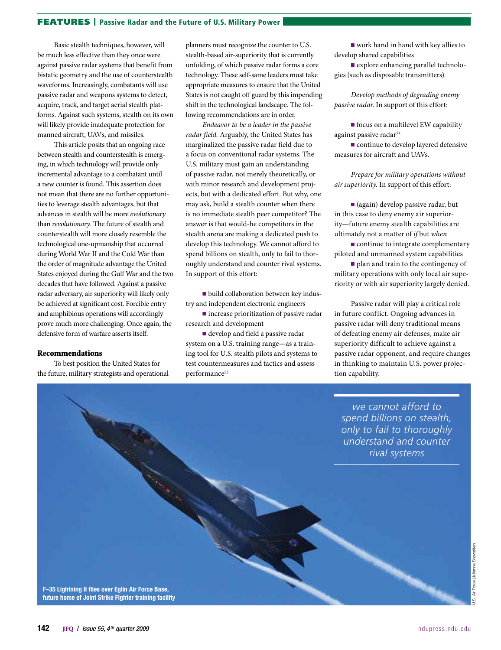### FEATURES | Passive Radar and the Future of U.S. Military Power

Basic stealth techniques, however, will be much less effective than they once were against passive radar systems that benefit from bistatic geometry and the use of counterstealth waveforms. Increasingly, combatants will use passive radar and weapons systems to detect, acquire, track, and target aerial stealth platforms. Against such systems, stealth on its own will likely provide inadequate protection for manned aircraft, UAVs, and missiles.

This article posits that an ongoing race between stealth and counterstealth is emerging, in which technology will provide only incremental advantage to a combatant until a new counter is found. This assertion does not mean that there are no further opportunities to leverage stealth advantages, but that advances in stealth will be more *evolutionary* than *revolutionary*. The future of stealth and counterstealth will more closely resemble the technological one-upmanship that occurred during World War II and the Cold War than the order of magnitude advantage the United States enjoyed during the Gulf War and the two decades that have followed. Against a passive radar adversary, air superiority will likely only be achieved at significant cost. Forcible entry and amphibious operations will accordingly prove much more challenging. Once again, the defensive form of warfare asserts itself.

#### Recommendations

To best position the United States for the future, military strategists and operational

planners must recognize the counter to U.S. stealth-based air-superiority that is currently unfolding, of which passive radar forms a core technology. These self-same leaders must take appropriate measures to ensure that the United States is not caught off guard by this impending shift in the technological landscape. The following recommendations are in order.

*Endeavor to be a leader in the passive radar field.* Arguably, the United States has marginalized the passive radar field due to a focus on conventional radar systems. The U.S. military must gain an understanding of passive radar, not merely theoretically, or with minor research and development projects, but with a dedicated effort. But why, one may ask, build a stealth counter when there is no immediate stealth peer competitor? The answer is that would-be competitors in the stealth arena are making a dedicated push to develop this technology. We cannot afford to spend billions on stealth, only to fail to thoroughly understand and counter rival systems. In support of this effort:

■ build collaboration between key industry and independent electronic engineers

■ increase prioritization of passive radar research and development

■ develop and field a passive radar system on a U.S. training range—as a training tool for U.S. stealth pilots and systems to test countermeasures and tactics and assess performance<sup>53</sup>

■ work hand in hand with key allies to develop shared capabilities

■ explore enhancing parallel technologies (such as disposable transmitters).

*Develop methods of degrading enemy passive radar.* In support of this effort:

■ focus on a multilevel EW capability against passive radar<sup>54</sup>

■ continue to develop layered defensive measures for aircraft and UAVs.

*Prepare for military operations without air superiority.* In support of this effort:

■ (again) develop passive radar, but in this case to deny enemy air superiority—future enemy stealth capabilities are ultimately not a matter of *if* but *when*

■ continue to integrate complementary piloted and unmanned system capabilities

■ plan and train to the contingency of military operations with only local air superiority or with air superiority largely denied.

Passive radar will play a critical role in future conflict. Ongoing advances in passive radar will deny traditional means of defeating enemy air defenses, make air superiority difficult to achieve against a passive radar opponent, and require changes in thinking to maintain U.S. power projection capability.

*we cannot afford to spend billions on stealth, only to fail to thoroughly understand and counter rival systems*

F–35 Lightning II flies over Eglin Air Force Base, future home of Joint Strike Fighter training facility